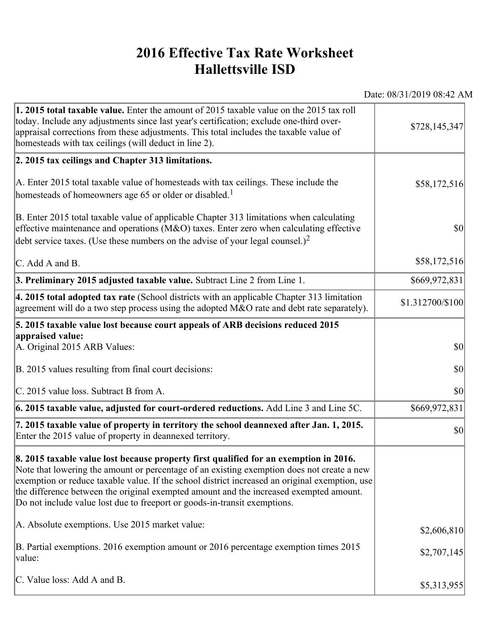## **2016 Effective Tax Rate Worksheet Hallettsville ISD**

Date: 08/31/2019 08:42 AM

| 1. 2015 total taxable value. Enter the amount of 2015 taxable value on the 2015 tax roll<br>today. Include any adjustments since last year's certification; exclude one-third over-<br>appraisal corrections from these adjustments. This total includes the taxable value of<br>homesteads with tax ceilings (will deduct in line 2).                                                                                                                       | \$728,145,347    |
|--------------------------------------------------------------------------------------------------------------------------------------------------------------------------------------------------------------------------------------------------------------------------------------------------------------------------------------------------------------------------------------------------------------------------------------------------------------|------------------|
| 2. 2015 tax ceilings and Chapter 313 limitations.                                                                                                                                                                                                                                                                                                                                                                                                            |                  |
| A. Enter 2015 total taxable value of homesteads with tax ceilings. These include the<br>homesteads of homeowners age 65 or older or disabled. <sup>1</sup>                                                                                                                                                                                                                                                                                                   | \$58,172,516     |
| B. Enter 2015 total taxable value of applicable Chapter 313 limitations when calculating<br>effective maintenance and operations ( $M&O$ ) taxes. Enter zero when calculating effective<br>debt service taxes. (Use these numbers on the advise of your legal counsel.) <sup>2</sup>                                                                                                                                                                         | $ 10\rangle$     |
| C. Add A and B.                                                                                                                                                                                                                                                                                                                                                                                                                                              | \$58,172,516     |
| 3. Preliminary 2015 adjusted taxable value. Subtract Line 2 from Line 1.                                                                                                                                                                                                                                                                                                                                                                                     | \$669,972,831    |
| 4. 2015 total adopted tax rate (School districts with an applicable Chapter 313 limitation<br>agreement will do a two step process using the adopted M&O rate and debt rate separately).                                                                                                                                                                                                                                                                     | \$1.312700/\$100 |
| 5. 2015 taxable value lost because court appeals of ARB decisions reduced 2015                                                                                                                                                                                                                                                                                                                                                                               |                  |
| appraised value:<br>A. Original 2015 ARB Values:                                                                                                                                                                                                                                                                                                                                                                                                             | $ 10\rangle$     |
| B. 2015 values resulting from final court decisions:                                                                                                                                                                                                                                                                                                                                                                                                         | \$0              |
| C. 2015 value loss. Subtract B from A.                                                                                                                                                                                                                                                                                                                                                                                                                       | \$0              |
| $\vert$ 6. 2015 taxable value, adjusted for court-ordered reductions. Add Line 3 and Line 5C.                                                                                                                                                                                                                                                                                                                                                                | \$669,972,831    |
| 7. 2015 taxable value of property in territory the school deannexed after Jan. 1, 2015.<br>Enter the 2015 value of property in deannexed territory.                                                                                                                                                                                                                                                                                                          | $ 10\rangle$     |
| 8. 2015 taxable value lost because property first qualified for an exemption in 2016.<br>Note that lowering the amount or percentage of an existing exemption does not create a new<br>exemption or reduce taxable value. If the school district increased an original exemption, use<br>the difference between the original exempted amount and the increased exempted amount.<br>Do not include value lost due to freeport or goods-in-transit exemptions. |                  |
| A. Absolute exemptions. Use 2015 market value:                                                                                                                                                                                                                                                                                                                                                                                                               | \$2,606,810      |
| B. Partial exemptions. 2016 exemption amount or 2016 percentage exemption times 2015<br>value:                                                                                                                                                                                                                                                                                                                                                               | \$2,707,145      |
| C. Value loss: Add A and B.                                                                                                                                                                                                                                                                                                                                                                                                                                  | \$5,313,955      |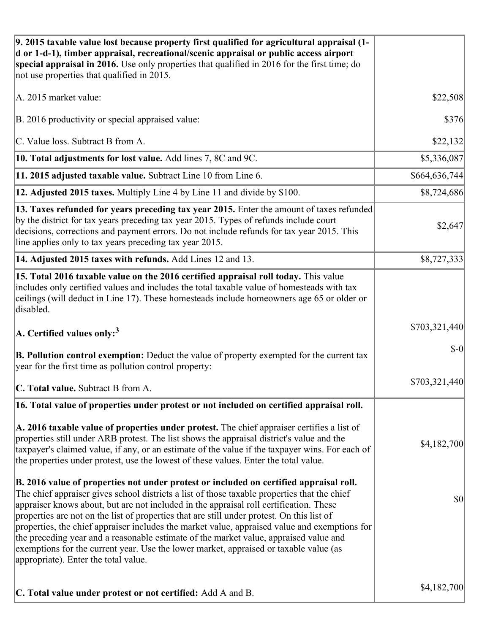| 9. 2015 taxable value lost because property first qualified for agricultural appraisal (1-<br>d or 1-d-1), timber appraisal, recreational/scenic appraisal or public access airport<br>special appraisal in 2016. Use only properties that qualified in 2016 for the first time; do<br>not use properties that qualified in 2015.                                                                                                                                                                                                                                                                                                                                                                         |                |
|-----------------------------------------------------------------------------------------------------------------------------------------------------------------------------------------------------------------------------------------------------------------------------------------------------------------------------------------------------------------------------------------------------------------------------------------------------------------------------------------------------------------------------------------------------------------------------------------------------------------------------------------------------------------------------------------------------------|----------------|
| A. 2015 market value:                                                                                                                                                                                                                                                                                                                                                                                                                                                                                                                                                                                                                                                                                     | \$22,508       |
| B. 2016 productivity or special appraised value:                                                                                                                                                                                                                                                                                                                                                                                                                                                                                                                                                                                                                                                          | \$376          |
| C. Value loss. Subtract B from A.                                                                                                                                                                                                                                                                                                                                                                                                                                                                                                                                                                                                                                                                         | \$22,132       |
| 10. Total adjustments for lost value. Add lines 7, 8C and 9C.                                                                                                                                                                                                                                                                                                                                                                                                                                                                                                                                                                                                                                             | \$5,336,087    |
| 11. 2015 adjusted taxable value. Subtract Line 10 from Line 6.                                                                                                                                                                                                                                                                                                                                                                                                                                                                                                                                                                                                                                            | \$664,636,744] |
| 12. Adjusted 2015 taxes. Multiply Line 4 by Line 11 and divide by \$100.                                                                                                                                                                                                                                                                                                                                                                                                                                                                                                                                                                                                                                  | \$8,724,686    |
| 13. Taxes refunded for years preceding tax year 2015. Enter the amount of taxes refunded<br>by the district for tax years preceding tax year 2015. Types of refunds include court<br>decisions, corrections and payment errors. Do not include refunds for tax year 2015. This<br>line applies only to tax years preceding tax year 2015.                                                                                                                                                                                                                                                                                                                                                                 | \$2,647        |
| 14. Adjusted 2015 taxes with refunds. Add Lines 12 and 13.                                                                                                                                                                                                                                                                                                                                                                                                                                                                                                                                                                                                                                                | \$8,727,333    |
| 15. Total 2016 taxable value on the 2016 certified appraisal roll today. This value<br>includes only certified values and includes the total taxable value of homesteads with tax<br>ceilings (will deduct in Line 17). These homesteads include homeowners age 65 or older or<br>disabled.                                                                                                                                                                                                                                                                                                                                                                                                               |                |
| $ A$ . Certified values only: <sup>3</sup>                                                                                                                                                                                                                                                                                                                                                                                                                                                                                                                                                                                                                                                                | \$703,321,440  |
| <b>B. Pollution control exemption:</b> Deduct the value of property exempted for the current tax<br>year for the first time as pollution control property:                                                                                                                                                                                                                                                                                                                                                                                                                                                                                                                                                | $$-0$          |
| C. Total value. Subtract B from A.                                                                                                                                                                                                                                                                                                                                                                                                                                                                                                                                                                                                                                                                        | \$703,321,440  |
| 16. Total value of properties under protest or not included on certified appraisal roll.                                                                                                                                                                                                                                                                                                                                                                                                                                                                                                                                                                                                                  |                |
| A. 2016 taxable value of properties under protest. The chief appraiser certifies a list of<br>properties still under ARB protest. The list shows the appraisal district's value and the<br>taxpayer's claimed value, if any, or an estimate of the value if the taxpayer wins. For each of<br>the properties under protest, use the lowest of these values. Enter the total value.                                                                                                                                                                                                                                                                                                                        | \$4,182,700    |
| B. 2016 value of properties not under protest or included on certified appraisal roll.<br>The chief appraiser gives school districts a list of those taxable properties that the chief<br>appraiser knows about, but are not included in the appraisal roll certification. These<br>properties are not on the list of properties that are still under protest. On this list of<br>properties, the chief appraiser includes the market value, appraised value and exemptions for<br>the preceding year and a reasonable estimate of the market value, appraised value and<br>exemptions for the current year. Use the lower market, appraised or taxable value (as<br>appropriate). Enter the total value. | \$0            |
| C. Total value under protest or not certified: Add A and B.                                                                                                                                                                                                                                                                                                                                                                                                                                                                                                                                                                                                                                               | \$4,182,700    |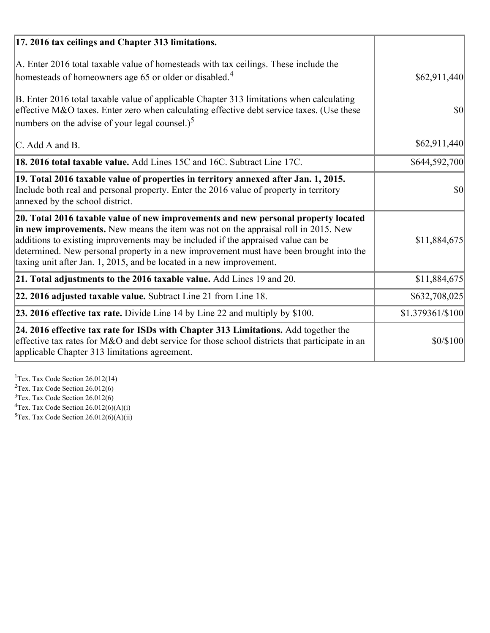| 17. 2016 tax ceilings and Chapter 313 limitations.                                                                                                                                                                                                                                                                                                                                                                             |                  |
|--------------------------------------------------------------------------------------------------------------------------------------------------------------------------------------------------------------------------------------------------------------------------------------------------------------------------------------------------------------------------------------------------------------------------------|------------------|
| A. Enter 2016 total taxable value of homesteads with tax ceilings. These include the<br>homesteads of homeowners age 65 or older or disabled. <sup>4</sup>                                                                                                                                                                                                                                                                     | \$62,911,440]    |
| B. Enter 2016 total taxable value of applicable Chapter 313 limitations when calculating<br>effective M&O taxes. Enter zero when calculating effective debt service taxes. (Use these<br>numbers on the advise of your legal counsel.) <sup>5</sup>                                                                                                                                                                            | $\vert$ \$0      |
| C. Add A and B.                                                                                                                                                                                                                                                                                                                                                                                                                | \$62,911,440]    |
| 18. 2016 total taxable value. Add Lines 15C and 16C. Subtract Line 17C.                                                                                                                                                                                                                                                                                                                                                        | \$644,592,700    |
| 19. Total 2016 taxable value of properties in territory annexed after Jan. 1, 2015.<br>Include both real and personal property. Enter the 2016 value of property in territory<br>annexed by the school district.                                                                                                                                                                                                               | 30               |
| 20. Total 2016 taxable value of new improvements and new personal property located<br>in new improvements. New means the item was not on the appraisal roll in 2015. New<br>additions to existing improvements may be included if the appraised value can be<br>determined. New personal property in a new improvement must have been brought into the<br>taxing unit after Jan. 1, 2015, and be located in a new improvement. | \$11,884,675     |
| 21. Total adjustments to the 2016 taxable value. Add Lines 19 and 20.                                                                                                                                                                                                                                                                                                                                                          | \$11,884,675     |
| $ 22.2016$ adjusted taxable value. Subtract Line 21 from Line 18.                                                                                                                                                                                                                                                                                                                                                              | \$632,708,025    |
| 23. 2016 effective tax rate. Divide Line 14 by Line 22 and multiply by $$100$ .                                                                                                                                                                                                                                                                                                                                                | \$1.379361/\$100 |
| 24. 2016 effective tax rate for ISDs with Chapter 313 Limitations. Add together the<br>effective tax rates for M&O and debt service for those school districts that participate in an<br>applicable Chapter 313 limitations agreement.                                                                                                                                                                                         | \$0/\$100        |

<sup>1</sup>Tex. Tax Code Section 26.012(14)  $2$ Tex. Tax Code Section 26.012(6)  $3$ Tex. Tax Code Section 26.012(6)  ${}^{4}$ Tex. Tax Code Section 26.012(6)(A)(i)

 $5$ Tex. Tax Code Section 26.012(6)(A)(ii)